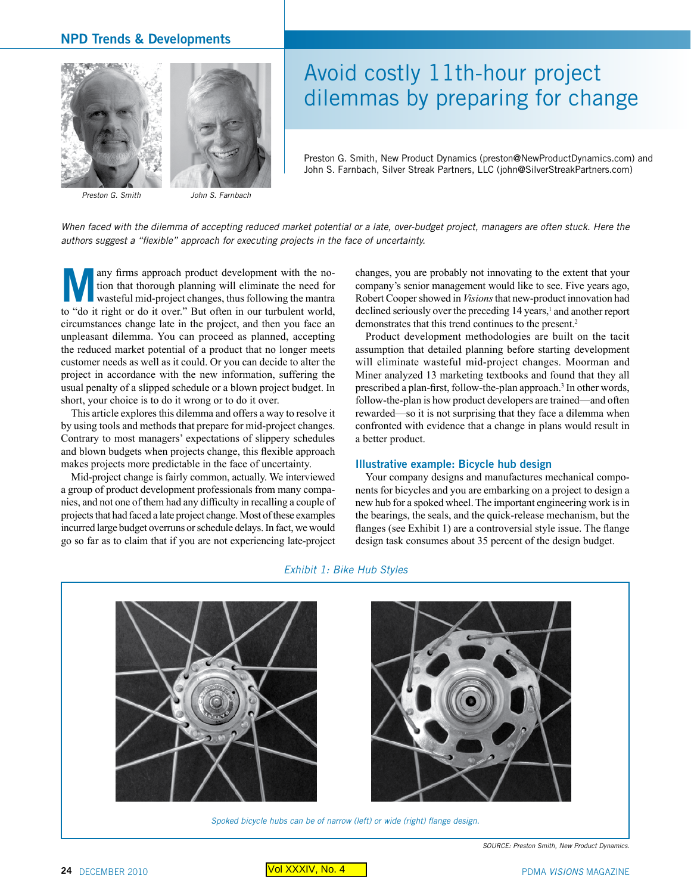# **NPD Trends & Developments**





*Preston G. Smith John S. Farnbach*

# Avoid costly 11th-hour project dilemmas by preparing for change

Preston G. Smith, New Product Dynamics (preston@NewProductDynamics.com) and John S. Farnbach, Silver Streak Partners, LLC (john@SilverStreakPartners.com)

When faced with the dilemma of accepting reduced market potential or a late, over-budget project, managers are often stuck. Here the *authors suggest a "flexible" approach for executing projects in the face of uncertainty.*

**Many firms approach product development with the no-**<br>tion that thorough planning will eliminate the need for<br>wasteful mid-project changes, thus following the mantra<br>to "do it right or do it over." But often in our turbul tion that thorough planning will eliminate the need for to "do it right or do it over." But often in our turbulent world, circumstances change late in the project, and then you face an unpleasant dilemma. You can proceed as planned, accepting the reduced market potential of a product that no longer meets customer needs as well as it could. Or you can decide to alter the project in accordance with the new information, suffering the usual penalty of a slipped schedule or a blown project budget. In short, your choice is to do it wrong or to do it over.

This article explores this dilemma and offers a way to resolve it by using tools and methods that prepare for mid-project changes. Contrary to most managers' expectations of slippery schedules and blown budgets when projects change, this flexible approach makes projects more predictable in the face of uncertainty.

Mid-project change is fairly common, actually. We interviewed a group of product development professionals from many companies, and not one of them had any difficulty in recalling a couple of projects that had faced a late project change. Most of these examples incurred large budget overruns or schedule delays. In fact, we would go so far as to claim that if you are not experiencing late-project

changes, you are probably not innovating to the extent that your company's senior management would like to see. Five years ago, Robert Cooper showed in *Visions* that new-product innovation had declined seriously over the preceding 14 years,<sup>1</sup> and another report demonstrates that this trend continues to the present.<sup>2</sup>

Product development methodologies are built on the tacit assumption that detailed planning before starting development will eliminate wasteful mid-project changes. Moorman and Miner analyzed 13 marketing textbooks and found that they all prescribed a plan-first, follow-the-plan approach.<sup>3</sup> In other words, follow-the-plan is how product developers are trained—and often rewarded—so it is not surprising that they face a dilemma when confronted with evidence that a change in plans would result in a better product.

#### **Illustrative example: Bicycle hub design**

Your company designs and manufactures mechanical components for bicycles and you are embarking on a project to design a new hub for a spoked wheel. The important engineering work is in the bearings, the seals, and the quick-release mechanism, but the flanges (see Exhibit 1) are a controversial style issue. The flange design task consumes about 35 percent of the design budget.

### *Exhibit 1: Bike Hub Styles*



*Spoked bicycle hubs can be of narrow (left) or wide (right) flange design.*

*SOURCE: Preston Smith, New Product Dynamics.*

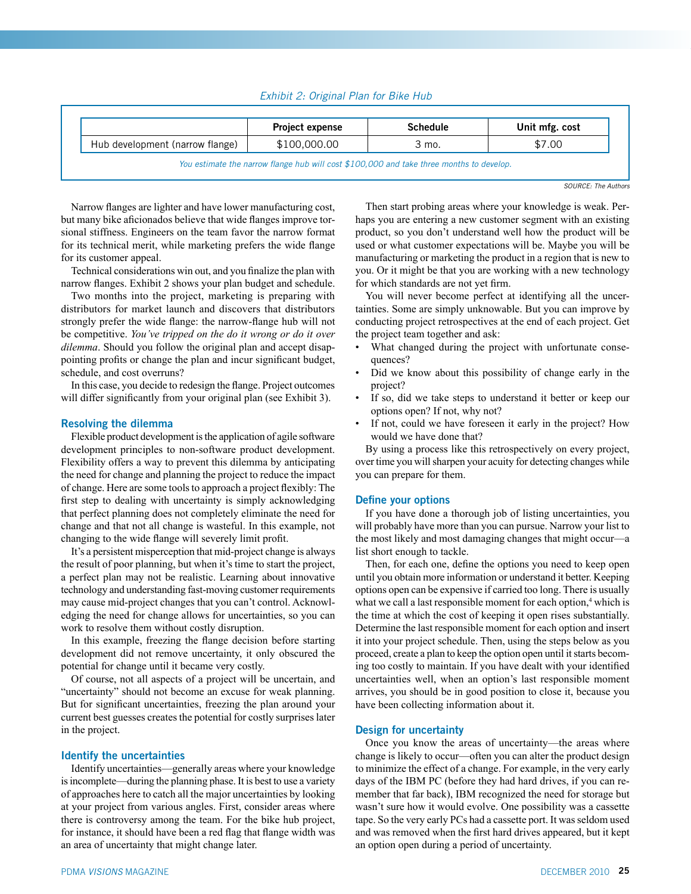# *Exhibit 2: Original Plan for Bike Hub*

|                                 | <b>Project expense</b> | <b>Schedule</b> | Unit mfg. cost |
|---------------------------------|------------------------|-----------------|----------------|
| Hub development (narrow flange) | \$100,000,00           | 3 mo.           | \$7.00         |

*SOURCE: The Authors*

Narrow flanges are lighter and have lower manufacturing cost, but many bike aficionados believe that wide flanges improve torsional stiffness. Engineers on the team favor the narrow format for its technical merit, while marketing prefers the wide flange for its customer appeal.

Technical considerations win out, and you finalize the plan with narrow flanges. Exhibit 2 shows your plan budget and schedule.

Two months into the project, marketing is preparing with distributors for market launch and discovers that distributors strongly prefer the wide flange: the narrow-flange hub will not be competitive. *You've tripped on the do it wrong or do it over dilemma*. Should you follow the original plan and accept disappointing profits or change the plan and incur significant budget, schedule, and cost overruns?

In this case, you decide to redesign the flange. Project outcomes will differ significantly from your original plan (see Exhibit 3).

## **Resolving the dilemma**

Flexible product development is the application of agile software development principles to non-software product development. Flexibility offers a way to prevent this dilemma by anticipating the need for change and planning the project to reduce the impact of change. Here are some tools to approach a project flexibly: The first step to dealing with uncertainty is simply acknowledging that perfect planning does not completely eliminate the need for change and that not all change is wasteful. In this example, not changing to the wide flange will severely limit profit.

It's a persistent misperception that mid-project change is always the result of poor planning, but when it's time to start the project, a perfect plan may not be realistic. Learning about innovative technology and understanding fast-moving customer requirements may cause mid-project changes that you can't control. Acknowledging the need for change allows for uncertainties, so you can work to resolve them without costly disruption.

In this example, freezing the flange decision before starting development did not remove uncertainty, it only obscured the potential for change until it became very costly.

Of course, not all aspects of a project will be uncertain, and "uncertainty" should not become an excuse for weak planning. But for significant uncertainties, freezing the plan around your current best guesses creates the potential for costly surprises later in the project.

#### **Identify the uncertainties**

Identify uncertainties—generally areas where your knowledge is incomplete—during the planning phase. It is best to use a variety of approaches here to catch all the major uncertainties by looking at your project from various angles. First, consider areas where there is controversy among the team. For the bike hub project, for instance, it should have been a red flag that flange width was an area of uncertainty that might change later.

Then start probing areas where your knowledge is weak. Perhaps you are entering a new customer segment with an existing product, so you don't understand well how the product will be used or what customer expectations will be. Maybe you will be manufacturing or marketing the product in a region that is new to you. Or it might be that you are working with a new technology for which standards are not yet firm.

You will never become perfect at identifying all the uncertainties. Some are simply unknowable. But you can improve by conducting project retrospectives at the end of each project. Get the project team together and ask:

- What changed during the project with unfortunate consequences?
- Did we know about this possibility of change early in the project?
- If so, did we take steps to understand it better or keep our options open? If not, why not?
- If not, could we have foreseen it early in the project? How would we have done that?

By using a process like this retrospectively on every project, over time you will sharpen your acuity for detecting changes while you can prepare for them.

#### **Define your options**

If you have done a thorough job of listing uncertainties, you will probably have more than you can pursue. Narrow your list to the most likely and most damaging changes that might occur—a list short enough to tackle.

Then, for each one, define the options you need to keep open until you obtain more information or understand it better. Keeping options open can be expensive if carried too long. There is usually what we call a last responsible moment for each option,<sup>4</sup> which is the time at which the cost of keeping it open rises substantially. Determine the last responsible moment for each option and insert it into your project schedule. Then, using the steps below as you proceed, create a plan to keep the option open until it starts becoming too costly to maintain. If you have dealt with your identified uncertainties well, when an option's last responsible moment arrives, you should be in good position to close it, because you have been collecting information about it.

# **Design for uncertainty**

Once you know the areas of uncertainty—the areas where change is likely to occur—often you can alter the product design to minimize the effect of a change. For example, in the very early days of the IBM PC (before they had hard drives, if you can remember that far back), IBM recognized the need for storage but wasn't sure how it would evolve. One possibility was a cassette tape. So the very early PCs had a cassette port. It was seldom used and was removed when the first hard drives appeared, but it kept an option open during a period of uncertainty.